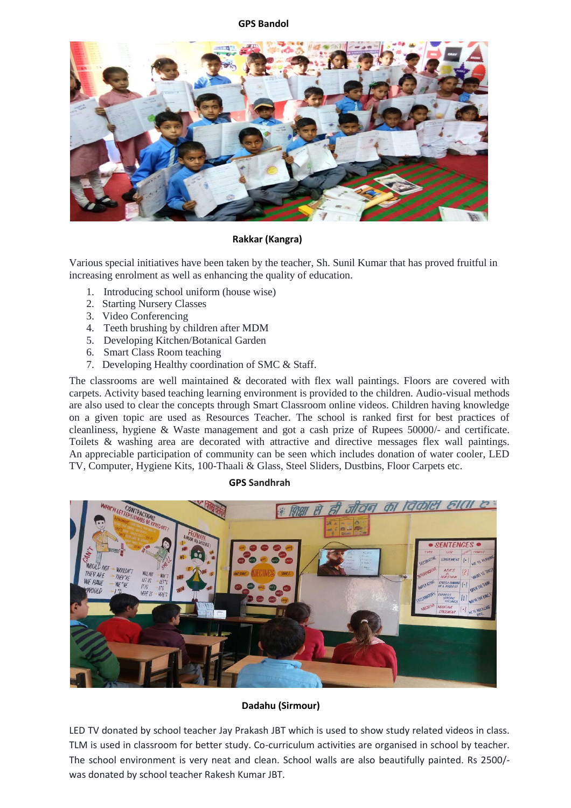### **GPS Bandol**



### **Rakkar (Kangra)**

Various special initiatives have been taken by the teacher, Sh. Sunil Kumar that has proved fruitful in increasing enrolment as well as enhancing the quality of education.

- 1. Introducing school uniform (house wise)
- 2. Starting Nursery Classes
- 3. Video Conferencing
- 4. Teeth brushing by children after MDM
- 5. Developing Kitchen/Botanical Garden
- 6. Smart Class Room teaching
- 7. Developing Healthy coordination of SMC & Staff.

The classrooms are well maintained  $\&$  decorated with flex wall paintings. Floors are covered with carpets. Activity based teaching learning environment is provided to the children. Audio-visual methods are also used to clear the concepts through Smart Classroom online videos. Children having knowledge on a given topic are used as Resources Teacher. The school is ranked first for best practices of cleanliness, hygiene & Waste management and got a cash prize of Rupees 50000/- and certificate. Toilets & washing area are decorated with attractive and directive messages flex wall paintings. An appreciable participation of community can be seen which includes donation of water cooler, LED TV, Computer, Hygiene Kits, 100-Thaali & Glass, Steel Sliders, Dustbins, Floor Carpets etc.

#### **GPS Sandhrah**



### **Dadahu (Sirmour)**

LED TV donated by school teacher Jay Prakash JBT which is used to show study related videos in class. TLM is used in classroom for better study. Co-curriculum activities are organised in school by teacher. The school environment is very neat and clean. School walls are also beautifully painted. Rs 2500/ was donated by school teacher Rakesh Kumar JBT.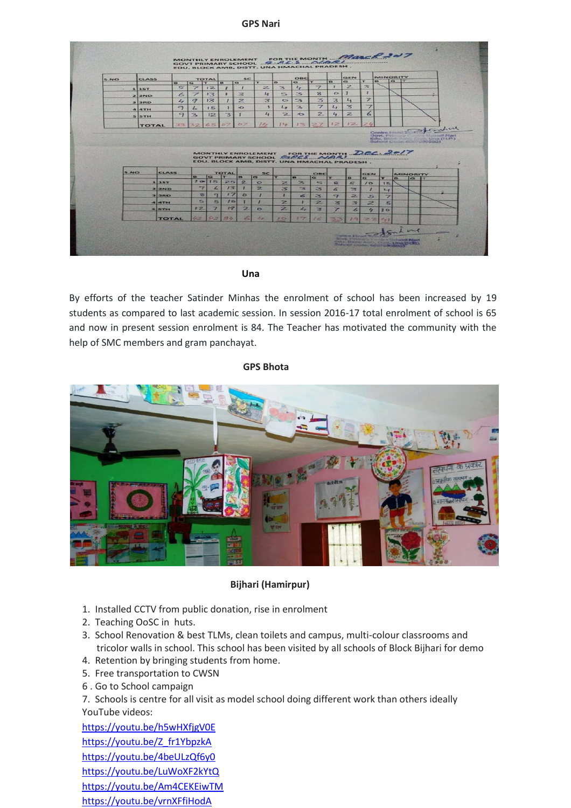#### **GPS Nari**

| S.NO | <b>CLASS</b> |               |                          | TOTAL          |                | sc.              |                                                                                                                             |                         | OBC                      |                          |                  | GEN                     |                          | MINORITY                |     |                 |                                                                                         |
|------|--------------|---------------|--------------------------|----------------|----------------|------------------|-----------------------------------------------------------------------------------------------------------------------------|-------------------------|--------------------------|--------------------------|------------------|-------------------------|--------------------------|-------------------------|-----|-----------------|-----------------------------------------------------------------------------------------|
|      |              | F1            | $\sqrt{a}$               | $\mathbf{r}$   | B.             | G                | $\mathbf{r}$                                                                                                                | $\overline{\mathbf{B}}$ | $\overline{G}$           | $\tau$                   | $\mathbf{B}$     | $\mathbf{G}$            | T.                       | <b>FR</b>               | G T |                 |                                                                                         |
|      | <b>115T</b>  | 写             | $\overline{\phantom{a}}$ | 12             | $\mathbf{r}$   |                  | $\mathbb{Z}$                                                                                                                | $\geq$                  | $L_{2}$                  | $\overline{\mathbb{Z}}$  | ٠                | $\overline{z}$          | $\mathbf{z}$             |                         |     |                 |                                                                                         |
|      | 22ND         | $\leq$        | $\overline{\mathscr{L}}$ | 13             |                | $\approx$        | $L_{\rm{F}}$                                                                                                                | $\leq$                  | 3                        | 8                        | $\triangleright$ |                         | т                        |                         |     |                 |                                                                                         |
|      | $3$ 3RD      | $L_I$         | 9                        | 13             | 1              | $\overline{z}$   | 3                                                                                                                           | $\sim$                  | $\rightarrow$            | $\leq$                   | 3                | $L_{\mathcal{R}}$       | 7                        |                         |     |                 |                                                                                         |
|      | 44TH         | $\rightarrow$ | $\overline{b}$           | 15             | r              | $\overline{O}$   | $\mathbf{A}$                                                                                                                | $L_{\mathbf{r}}$        | $\mathbf{B}$             | $\overline{\mathscr{L}}$ | $L_{\mathbf{z}}$ | $\overline{\mathbf{z}}$ | $\overline{\phantom{a}}$ |                         |     |                 |                                                                                         |
|      | <b>SSTH</b>  | 9             | 3                        | 12             | $\overline{3}$ |                  | $L_3$                                                                                                                       | $\overline{ }$          | $\rightarrow$            | $\mathbb{Z}$             | $L_{\rm F}$      | $\geq$                  | 6                        |                         |     |                 |                                                                                         |
|      | <b>TOTAL</b> | 72            | 32                       | 65             | 07             | $\sim$           | 820                                                                                                                         | $7 - p$                 | 12                       | 27                       | 12               | 12                      | コム                       |                         |     |                 |                                                                                         |
|      |              |               |                          |                |                |                  | MONTHLY ENROLEMENT FOR THE MONTH DEC. 2017<br>GOVT PRIMARY SCHOOL GLOCE WAR!<br>EDU, BLOCK AMB, DISTT, UNA HMACHAL PRADESH. |                         |                          |                          |                  |                         |                          |                         |     |                 | Controller Englanding<br>Govt. Primary Carriers School Nant<br>School Cade: 80070305801 |
| S.NO |              | <b>CLASS</b>  |                          |                | <b>TOTAL</b>   |                  | <b>SC</b>                                                                                                                   |                         |                          | OBC                      |                  |                         | <b>GEN</b>               |                         |     | <b>MINORITY</b> |                                                                                         |
|      |              |               | $\overline{a}$           | $\overline{G}$ | $\mathbf{r}$   | в                | G                                                                                                                           | 53                      | $\mathbf{B}$             | $\sigma$                 | Ŧ                | <b>B</b>                | $\sim$                   | $\mathbf{r}$            | B.  | $\leftarrow$    | <b>IT</b>                                                                               |
|      | 115T         |               |                          | 10115          | 251            | $\triangleright$ | $\circ$                                                                                                                     | $\geq$                  | $\overline{\phantom{a}}$ | $=$                      | $\mathbf{R}$     | 写                       | 10 <sup>o</sup>          | 15                      |     |                 |                                                                                         |
|      | 22ND         |               | $\overline{\phantom{a}}$ | $\epsilon$     | 13             | ×                | $\overline{z}$                                                                                                              | $\overline{\mathbf{3}}$ | $\overline{\phantom{a}}$ | 3                        | $\epsilon$       | $\overline{\mathbf{3}}$ | 7                        | $L_{f}$                 |     |                 |                                                                                         |
|      | 3 3 RD       |               | $\mathbf{z}$             | $\rightarrow$  | 17             | $\circ$          | ٠                                                                                                                           | т                       | $\leq$                   | $\overline{\mathbf{z}}$  | $\mathbf{r}$     | $\overline{z}$          | $5-$                     | $\overline{ }$          |     |                 |                                                                                         |
|      | 44           |               | 5                        | 5              | 10             |                  |                                                                                                                             | $\overline{z}$          | ٠                        | $\overline{z}$           | ×                | $\Rightarrow$           | $\geq$                   | $\overline{\mathbf{5}}$ |     |                 |                                                                                         |
|      | <b>SISTH</b> |               | 12                       | $\overline{ }$ | 19             | z                | $\sim$                                                                                                                      | $\overline{z}$          | $\overline{L_{\ell}}$    | $\overline{\mathbf{z}}$  |                  | z                       | $\epsilon_{\rm e}$       | 10                      |     |                 |                                                                                         |

**Una**

By efforts of the teacher Satinder Minhas the enrolment of school has been increased by 19 students as compared to last academic session. In session 2016-17 total enrolment of school is 65 and now in present session enrolment is 84. The Teacher has motivated the community with the help of SMC members and gram panchayat.

### **GPS Bhota**



## **Bijhari (Hamirpur)**

- 1. Installed CCTV from public donation, rise in enrolment
- 2. Teaching OoSC in huts.
- 3. School Renovation & best TLMs, clean toilets and campus, multi-colour classrooms and tricolor walls in school. This school has been visited by all schools of Block Bijhari for demo
- 4. Retention by bringing students from home.
- 5. Free transportation to CWSN
- 6 . Go to School campaign

7. Schools is centre for all visit as model school doing different work than others ideally YouTube videos:

[https://youtu.be/h5wHXfjgV0E](https://l.facebook.com/l.php?u=https%3A%2F%2Fyoutu.be%2Fh5wHXfjgV0E&h=ATP4VZe9CAUkLSkYUpZ4Ggszn_XgVpfkSbR_js2T59b35LKMiD1vGOfRjrIXMnIPCXSRsEcYvJIpWkesL-HFLwOg3I6khkKa1NtgSvopVyLPnGUDuTzJQxy800cveQwxLFl9B4QVFicsDEBvDvMGthpXqVEa) [https://youtu.be/Z\\_fr1YbpzkA](https://l.facebook.com/l.php?u=https%3A%2F%2Fyoutu.be%2FZ_fr1YbpzkA&h=ATNXGM5q0W5C7BIcGdnlP1EJW2ls-PGFmpBEYcYHRuy4WZjGdHw1lbckJxSerzlunSSD4xndK5-SGLSSOx8Q8CNutiO9vwQDbXZFrpP-2RJtkdYCCfjykVvtwC7Bq5QWcyIgAECmzjtVb2wgoVY6X08pAjk-) <https://youtu.be/4beULzQf6y0> [https://youtu.be/LuWoXF2kYtQ](https://l.facebook.com/l.php?u=https%3A%2F%2Fyoutu.be%2FLuWoXF2kYtQ&h=ATOyNCmDaod4CwXRepxaEln5Sxb7fSDncUUV6XlEJXKMJJv1-6Gn9ZszF53dwC-HG39Ux-OpKOH7tUG7T_kvEVb84SRF_LuV1_m1NYlBCD9BXaWHbQbg8uehYaCPhMY36FQAjlfART1RYhufRctESra9ER1B) <https://youtu.be/Am4CEKEiwTM> [https://youtu.be/vrnXFfiHodA](https://l.facebook.com/l.php?u=https%3A%2F%2Fyoutu.be%2FvrnXFfiHodA&h=ATNVG1M0G7fKq-2uXO4pcABKBLRLQQiBlg8rJAOF6uCrnRpMZcGdfykKOd3MVeWjtwfzJcuFwa6N-7TGnoaSXCHtegqZcbVbZ7ogS7WhiNyTk_paao7HritDTvRwmokVNvie78Z-_OPoCgSC5AVEs84pCnAH)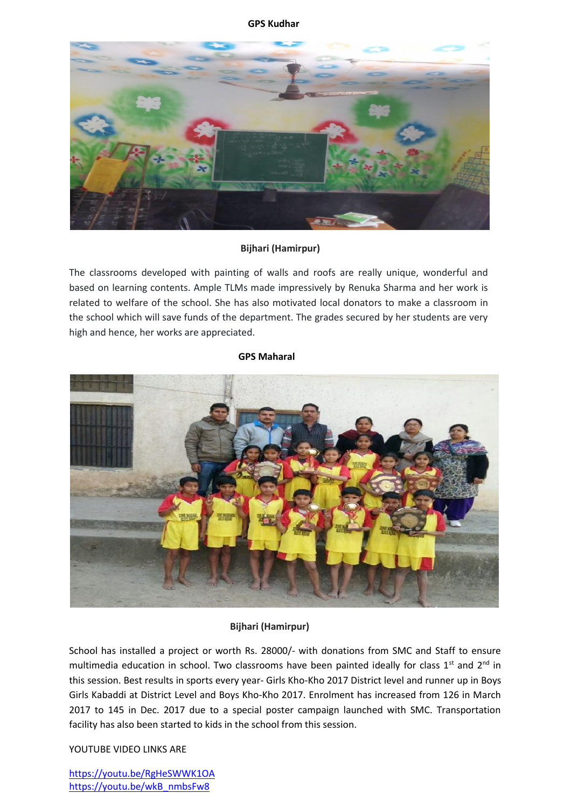### **GPS Kudhar**



# **Bijhari (Hamirpur)**

The classrooms developed with painting of walls and roofs are really unique, wonderful and based on learning contents. Ample TLMs made impressively by Renuka Sharma and her work is related to welfare of the school. She has also motivated local donators to make a classroom in the school which will save funds of the department. The grades secured by her students are very high and hence, her works are appreciated.

### **GPS Maharal**



## **Bijhari (Hamirpur)**

School has installed a project or worth Rs. 28000/- with donations from SMC and Staff to ensure multimedia education in school. Two classrooms have been painted ideally for class  $1<sup>st</sup>$  and  $2<sup>nd</sup>$  in this session. Best results in sports every year- Girls Kho-Kho 2017 District level and runner up in Boys Girls Kabaddi at District Level and Boys Kho-Kho 2017. Enrolment has increased from 126 in March 2017 to 145 in Dec. 2017 due to a special poster campaign launched with SMC. Transportation facility has also been started to kids in the school from this session.

## YOUTUBE VIDEO LINKS ARE

<https://youtu.be/RgHeSWWK1OA> [https://youtu.be/wkB\\_nmbsFw8](https://youtu.be/wkB_nmbsFw8)